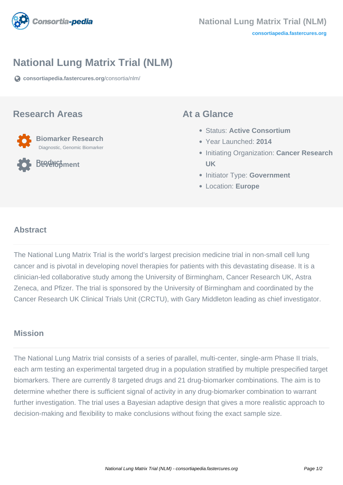

# **National Lung Matrix Trial (NLM)**

**[consortiapedia.fastercures.org](https://consortiapedia.fastercures.org/consortia/nlm/)**[/consortia/nlm/](https://consortiapedia.fastercures.org/consortia/nlm/)

#### **Research Areas**



**Product Development**

#### **At a Glance**

- Status: **Active Consortium**
- Year Launched: **2014**
- **Initiating Organization: Cancer Research UK**
- **Initiator Type: Government**
- Location: **Europe**

#### $\overline{a}$ **Abstract**

The National Lung Matrix Trial is the world's largest precision medicine trial in non-small cell lung cancer and is pivotal in developing novel therapies for patients with this devastating disease. It is a clinician-led collaborative study among the University of Birmingham, Cancer Research UK, Astra Zeneca, and Pfizer. The trial is sponsored by the University of Birmingham and coordinated by the Cancer Research UK Clinical Trials Unit (CRCTU), with Gary Middleton leading as chief investigator.

### **Mission**

The National Lung Matrix trial consists of a series of parallel, multi-center, single-arm Phase II trials, each arm testing an experimental targeted drug in a population stratified by multiple prespecified target biomarkers. There are currently 8 targeted drugs and 21 drug-biomarker combinations. The aim is to determine whether there is sufficient signal of activity in any drug-biomarker combination to warrant further investigation. The trial uses a Bayesian adaptive design that gives a more realistic approach to decision-making and flexibility to make conclusions without fixing the exact sample size.